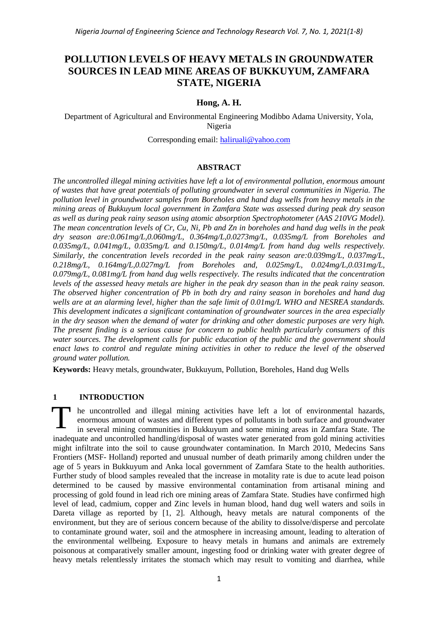# **POLLUTION LEVELS OF HEAVY METALS IN GROUNDWATER SOURCES IN LEAD MINE AREAS OF BUKKUYUM, ZAMFARA STATE, NIGERIA**

# **Hong, A. H.**

Department of Agricultural and Environmental Engineering Modibbo Adama University, Yola, Nigeria

Corresponding email: [haliruali@yahoo.com](mailto:haliruali@yahoo.com)

#### **ABSTRACT**

*The uncontrolled illegal mining activities have left a lot of environmental pollution, enormous amount of wastes that have great potentials of polluting groundwater in several communities in Nigeria. The pollution level in groundwater samples from Boreholes and hand dug wells from heavy metals in the mining areas of Bukkuyum local government in Zamfara State was assessed during peak dry season as well as during peak rainy season using atomic absorption Spectrophotometer (AAS 210VG Model). The mean concentration levels of Cr, Cu, Ni, Pb and Zn in boreholes and hand dug wells in the peak dry season are:0.061mg/L,0.060mg/L, 0.364mg/L,0.0273mg/L, 0.035mg/L from Boreholes and 0.035mg/L, 0.041mg/L, 0.035mg/L and 0.150mg/L, 0.014mg/L from hand dug wells respectively. Similarly, the concentration levels recorded in the peak rainy season are:0.039mg/L, 0.037mg/L, 0.218mg/L, 0.164mg/L,0.027mg/L from Boreholes and, 0.025mg/L, 0.024mg/L,0.031mg/L, 0.079mg/L, 0.081mg/L from hand dug wells respectively. The results indicated that the concentration levels of the assessed heavy metals are higher in the peak dry season than in the peak rainy season. The observed higher concentration of Pb in both dry and rainy season in boreholes and hand dug wells are at an alarming level, higher than the safe limit of 0.01mg/L WHO and NESREA standards. This development indicates a significant contamination of groundwater sources in the area especially in the dry season when the demand of water for drinking and other domestic purposes are very high. The present finding is a serious cause for concern to public health particularly consumers of this water sources. The development calls for public education of the public and the government should enact laws to control and regulate mining activities in other to reduce the level of the observed ground water pollution.*

**Keywords:** Heavy metals, groundwater, Bukkuyum, Pollution, Boreholes, Hand dug Wells

# **1 INTRODUCTION**

he uncontrolled and illegal mining activities have left a lot of environmental hazards, enormous amount of wastes and different types of pollutants in both surface and groundwater in several mining communities in Bukkuyum and some mining areas in Zamfara State. The inadequate and uncontrolled handling/disposal of wastes water generated from gold mining activities might infiltrate into the soil to cause groundwater contamination. In March 2010, Medecins Sans Frontiers (MSF- Holland) reported and unusual number of death primarily among children under the age of 5 years in Bukkuyum and Anka local government of Zamfara State to the health authorities. Further study of blood samples revealed that the increase in motality rate is due to acute lead poison determined to be caused by massive environmental contamination from artisanal mining and processing of gold found in lead rich ore mining areas of Zamfara State. Studies have confirmed high level of lead, cadmium, copper and Zinc levels in human blood, hand dug well waters and soils in Dareta village as reported by [1, 2]. Although, heavy metals are natural components of the environment, but they are of serious concern because of the ability to dissolve/disperse and percolate to contaminate ground water, soil and the atmosphere in increasing amount, leading to alteration of the environmental wellbeing. Exposure to heavy metals in humans and animals are extremely poisonous at comparatively smaller amount, ingesting food or drinking water with greater degree of heavy metals relentlessly irritates the stomach which may result to vomiting and diarrhea, while T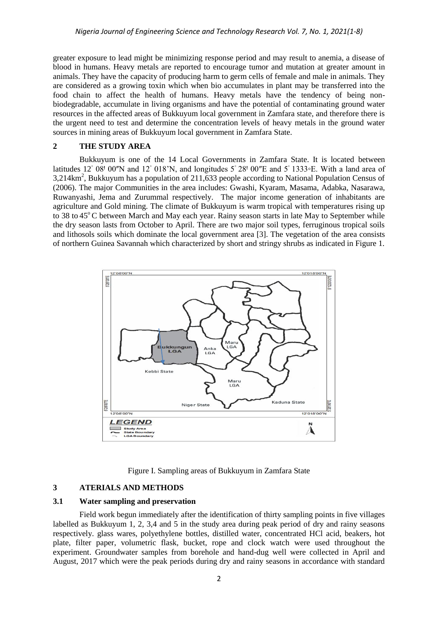greater exposure to lead might be minimizing response period and may result to anemia, a disease of blood in humans. Heavy metals are reported to encourage tumor and mutation at greater amount in animals. They have the capacity of producing harm to germ cells of female and male in animals. They are considered as a growing toxin which when bio accumulates in plant may be transferred into the food chain to affect the health of humans. Heavy metals have the tendency of being nonbiodegradable, accumulate in living organisms and have the potential of contaminating ground water resources in the affected areas of Bukkuyum local government in Zamfara state, and therefore there is the urgent need to test and determine the concentration levels of heavy metals in the ground water sources in mining areas of Bukkuyum local government in Zamfara State.

#### **2 THE STUDY AREA**

Bukkuyum is one of the 14 Local Governments in Zamfara State. It is located between latitudes 12° 08<sup> $\text{100}$ </sup>N and 12° 018'N, and longitudes 5° 28<sup> $\text{100}$ </sup>E and 5° 1333∘E. With a land area of  $3,214 \text{km}^2$ , Bukkuyum has a population of 211,633 people according to National Population Census of (2006). The major Communities in the area includes: Gwashi, Kyaram, Masama, Adabka, Nasarawa, Ruwanyashi, Jema and Zurummal respectively. The major income generation of inhabitants are agriculture and Gold mining. The climate of Bukkuyum is warm tropical with temperatures rising up to 38 to 45<sup>°</sup>C between March and May each year. Rainy season starts in late May to September while the dry season lasts from October to April. There are two major soil types, ferruginous tropical soils and lithosols soils which dominate the local government area [3]. The vegetation of the area consists of northern Guinea Savannah which characterized by short and stringy shrubs as indicated in Figure 1.



#### Figure I. Sampling areas of Bukkuyum in Zamfara State

# **3 ATERIALS AND METHODS**

#### **3.1 Water sampling and preservation**

Field work begun immediately after the identification of thirty sampling points in five villages labelled as Bukkuyum 1, 2, 3,4 and 5 in the study area during peak period of dry and rainy seasons respectively. glass wares, polyethylene bottles, distilled water, concentrated HCl acid, beakers, hot plate, filter paper, volumetric flask, bucket, rope and clock watch were used throughout the experiment. Groundwater samples from borehole and hand-dug well were collected in April and August, 2017 which were the peak periods during dry and rainy seasons in accordance with standard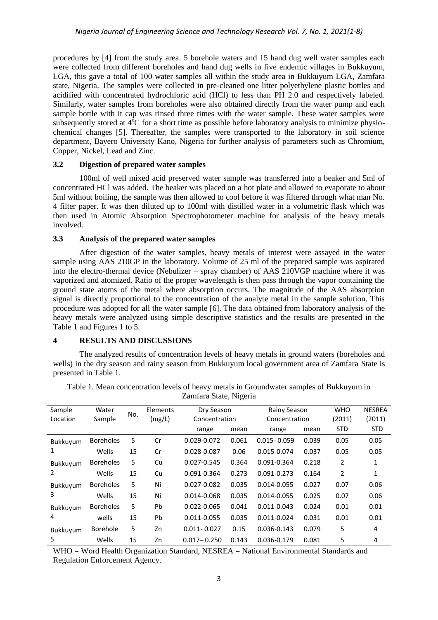procedures by [4] from the study area. 5 borehole waters and 15 hand dug well water samples each were collected from different boreholes and hand dug wells in five endemic villages in Bukkuyum, LGA, this gave a total of 100 water samples all within the study area in Bukkuyum LGA, Zamfara state, Nigeria. The samples were collected in pre-cleaned one litter polyethylene plastic bottles and acidified with concentrated hydrochloric acid (HCl) to less than PH 2.0 and respectively labeled. Similarly, water samples from boreholes were also obtained directly from the water pump and each sample bottle with it cap was rinsed three times with the water sample. These water samples were subsequently stored at  $4^{\circ}$ C for a short time as possible before laboratory analysis to minimize physiochemical changes [5]. Thereafter, the samples were transported to the laboratory in soil science department, Bayero University Kano, Nigeria for further analysis of parameters such as Chromium, Copper, Nickel, Lead and Zinc.

#### **3.2 Digestion of prepared water samples**

100ml of well mixed acid preserved water sample was transferred into a beaker and 5ml of concentrated HCl was added. The beaker was placed on a hot plate and allowed to evaporate to about 5ml without boiling, the sample was then allowed to cool before it was filtered through what man No. 4 filter paper. It was then diluted up to 100ml with distilled water in a volumetric flask which was then used in Atomic Absorption Spectrophotometer machine for analysis of the heavy metals involved.

#### **3.3 Analysis of the prepared water samples**

After digestion of the water samples, heavy metals of interest were assayed in the water sample using AAS 210GP in the laboratory. Volume of 25 ml of the prepared sample was aspirated into the electro-thermal device (Nebulizer – spray chamber) of AAS 210VGP machine where it was vaporized and atomized. Ratio of the proper wavelength is then pass through the vapor containing the ground state atoms of the metal where absorption occurs. The magnitude of the AAS absorption signal is directly proportional to the concentration of the analyte metal in the sample solution. This procedure was adopted for all the water sample [6]. The data obtained from laboratory analysis of the heavy metals were analyzed using simple descriptive statistics and the results are presented in the Table 1 and Figures 1 to 5.

### **4 RESULTS AND DISCUSSIONS**

The analyzed results of concentration levels of heavy metals in ground waters (boreholes and wells) in the dry season and rainy season from Bukkuyum local government area of Zamfara State is presented in Table 1.

| Sample               | Water            | No. | Elements | Dry Season<br>Concentration |       | Rainy Season<br>Concentration |       | <b>WHO</b>     | <b>NESREA</b> |
|----------------------|------------------|-----|----------|-----------------------------|-------|-------------------------------|-------|----------------|---------------|
| Location             | Sample           |     | (mg/L)   |                             |       |                               |       | (2011)         | (2011)        |
|                      |                  |     |          | range                       | mean  | range                         | mean  | <b>STD</b>     | <b>STD</b>    |
| Bukkuyum<br>1        | <b>Boreholes</b> | 5   | Cr       | 0.029-0.072                 | 0.061 | $0.015 - 0.059$               | 0.039 | 0.05           | 0.05          |
|                      | Wells            | 15  | Cr       | 0.028-0.087                 | 0.06  | 0.015-0.074                   | 0.037 | 0.05           | 0.05          |
| Bukkuyum<br>2        | <b>Boreholes</b> | 5   | Cu       | 0.027-0.545                 | 0.364 | 0.091-0.364                   | 0.218 | 2              | 1             |
|                      | Wells            | 15  | Cu       | 0.091-0.364                 | 0.273 | $0.091 - 0.273$               | 0.164 | $\overline{2}$ | 1             |
| <b>Bukkuvum</b><br>3 | <b>Boreholes</b> | 5   | Ni       | 0.027-0.082                 | 0.035 | 0.014-0.055                   | 0.027 | 0.07           | 0.06          |
|                      | Wells            | 15  | Ni       | 0.014-0.068                 | 0.035 | 0.014-0.055                   | 0.025 | 0.07           | 0.06          |
| Bukkuyum<br>4        | <b>Boreholes</b> | 5   | Pb       | 0.022-0.065                 | 0.041 | $0.011 - 0.043$               | 0.024 | 0.01           | 0.01          |
|                      | wells            | 15  | Pb.      | 0.011-0.055                 | 0.035 | 0.011-0.024                   | 0.031 | 0.01           | 0.01          |
| Bukkuyum<br>5.       | <b>Borehole</b>  | 5   | Zn       | $0.011 - 0.027$             | 0.15  | 0.036-0.143                   | 0.079 | 5              | 4             |
|                      | Wells            | 15  | Zn       | $0.017 - 0.250$             | 0.143 | 0.036-0.179                   | 0.081 | 5              | 4             |

Table 1. Mean concentration levels of heavy metals in Groundwater samples of Bukkuyum in Zamfara State, Nigeria

WHO = Word Health Organization Standard, NESREA = National Environmental Standards and Regulation Enforcement Agency.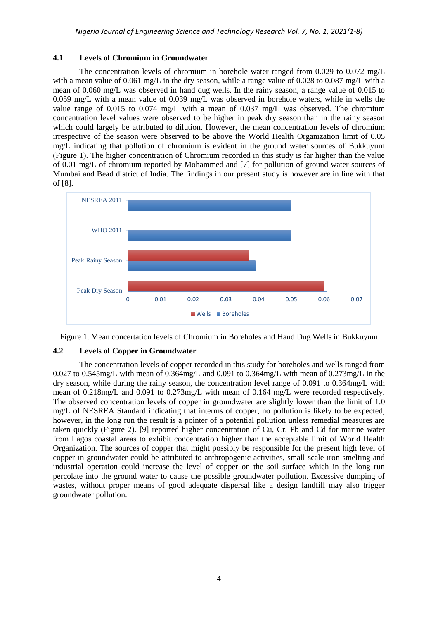### **4.1 Levels of Chromium in Groundwater**

The concentration levels of chromium in borehole water ranged from 0.029 to 0.072 mg/L with a mean value of 0.061 mg/L in the dry season, while a range value of 0.028 to 0.087 mg/L with a mean of 0.060 mg/L was observed in hand dug wells. In the rainy season, a range value of 0.015 to 0.059 mg/L with a mean value of 0.039 mg/L was observed in borehole waters, while in wells the value range of 0.015 to 0.074 mg/L with a mean of 0.037 mg/L was observed. The chromium concentration level values were observed to be higher in peak dry season than in the rainy season which could largely be attributed to dilution. However, the mean concentration levels of chromium irrespective of the season were observed to be above the World Health Organization limit of 0.05 mg/L indicating that pollution of chromium is evident in the ground water sources of Bukkuyum (Figure 1). The higher concentration of Chromium recorded in this study is far higher than the value of 0.01 mg/L of chromium reported by Mohammed and [7] for pollution of ground water sources of Mumbai and Bead district of India. The findings in our present study is however are in line with that of [8].





# **4.2 Levels of Copper in Groundwater**

The concentration levels of copper recorded in this study for boreholes and wells ranged from 0.027 to 0.545mg/L with mean of 0.364mg/L and 0.091 to 0.364mg/L with mean of 0.273mg/L in the dry season, while during the rainy season, the concentration level range of 0.091 to 0.364mg/L with mean of 0.218mg/L and 0.091 to 0.273mg/L with mean of 0.164 mg/L were recorded respectively. The observed concentration levels of copper in groundwater are slightly lower than the limit of 1.0 mg/L of NESREA Standard indicating that interms of copper, no pollution is likely to be expected, however, in the long run the result is a pointer of a potential pollution unless remedial measures are taken quickly (Figure 2). [9] reported higher concentration of Cu, Cr, Pb and Cd for marine water from Lagos coastal areas to exhibit concentration higher than the acceptable limit of World Health Organization. The sources of copper that might possibly be responsible for the present high level of copper in groundwater could be attributed to anthropogenic activities, small scale iron smelting and industrial operation could increase the level of copper on the soil surface which in the long run percolate into the ground water to cause the possible groundwater pollution. Excessive dumping of wastes, without proper means of good adequate dispersal like a design landfill may also trigger groundwater pollution.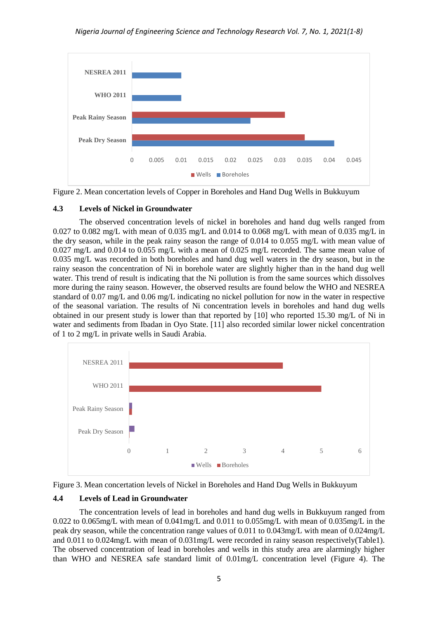

Figure 2. Mean concertation levels of Copper in Boreholes and Hand Dug Wells in Bukkuyum

# **4.3 Levels of Nickel in Groundwater**

The observed concentration levels of nickel in boreholes and hand dug wells ranged from 0.027 to 0.082 mg/L with mean of 0.035 mg/L and 0.014 to 0.068 mg/L with mean of 0.035 mg/L in the dry season, while in the peak rainy season the range of 0.014 to 0.055 mg/L with mean value of 0.027 mg/L and 0.014 to 0.055 mg/L with a mean of 0.025 mg/L recorded. The same mean value of 0.035 mg/L was recorded in both boreholes and hand dug well waters in the dry season, but in the rainy season the concentration of Ni in borehole water are slightly higher than in the hand dug well water. This trend of result is indicating that the Ni pollution is from the same sources which dissolves more during the rainy season. However, the observed results are found below the WHO and NESREA standard of 0.07 mg/L and 0.06 mg/L indicating no nickel pollution for now in the water in respective of the seasonal variation. The results of Ni concentration levels in boreholes and hand dug wells obtained in our present study is lower than that reported by [10] who reported 15.30 mg/L of Ni in water and sediments from Ibadan in Oyo State. [11] also recorded similar lower nickel concentration of 1 to 2 mg/L in private wells in Saudi Arabia.





# **4.4 Levels of Lead in Groundwater**

The concentration levels of lead in boreholes and hand dug wells in Bukkuyum ranged from 0.022 to 0.065mg/L with mean of 0.041mg/L and 0.011 to 0.055mg/L with mean of 0.035mg/L in the peak dry season, while the concentration range values of 0.011 to 0.043mg/L with mean of 0.024mg/L and 0.011 to 0.024mg/L with mean of 0.031mg/L were recorded in rainy season respectively(Table1). The observed concentration of lead in boreholes and wells in this study area are alarmingly higher than WHO and NESREA safe standard limit of 0.01mg/L concentration level (Figure 4). The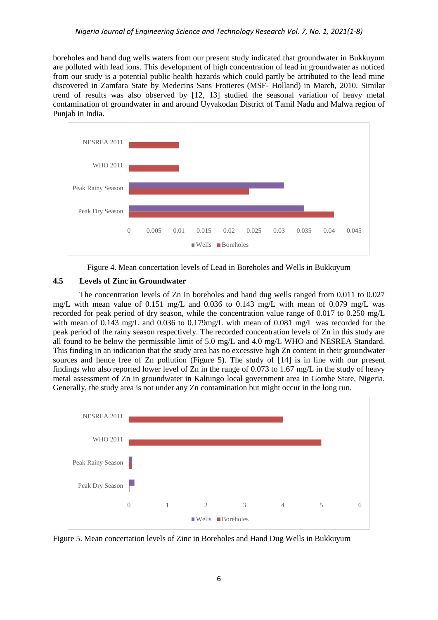boreholes and hand dug wells waters from our present study indicated that groundwater in Bukkuyum are polluted with lead ions. This development of high concentration of lead in groundwater as noticed from our study is a potential public health hazards which could partly be attributed to the lead mine discovered in Zamfara State by Medecins Sans Frotieres (MSF- Holland) in March, 2010. Similar trend of results was also observed by [12, 13] studied the seasonal variation of heavy metal contamination of groundwater in and around Uyyakodan District of Tamil Nadu and Malwa region of Punjab in India.



Figure 4. Mean concertation levels of Lead in Boreholes and Wells in Bukkuyum

# **4.5 Levels of Zinc in Groundwater**

The concentration levels of Zn in boreholes and hand dug wells ranged from 0.011 to 0.027 mg/L with mean value of 0.151 mg/L and 0.036 to 0.143 mg/L with mean of 0.079 mg/L was recorded for peak period of dry season, while the concentration value range of 0.017 to 0.250 mg/L with mean of 0.143 mg/L and 0.036 to 0.179mg/L with mean of 0.081 mg/L was recorded for the peak period of the rainy season respectively. The recorded concentration levels of Zn in this study are all found to be below the permissible limit of 5.0 mg/L and 4.0 mg/L WHO and NESREA Standard. This finding in an indication that the study area has no excessive high Zn content in their groundwater sources and hence free of Zn pollution (Figure 5). The study of [14] is in line with our present findings who also reported lower level of Zn in the range of 0.073 to 1.67 mg/L in the study of heavy metal assessment of Zn in groundwater in Kaltungo local government area in Gombe State, Nigeria. Generally, the study area is not under any Zn contamination but might occur in the long run.



Figure 5. Mean concertation levels of Zinc in Boreholes and Hand Dug Wells in Bukkuyum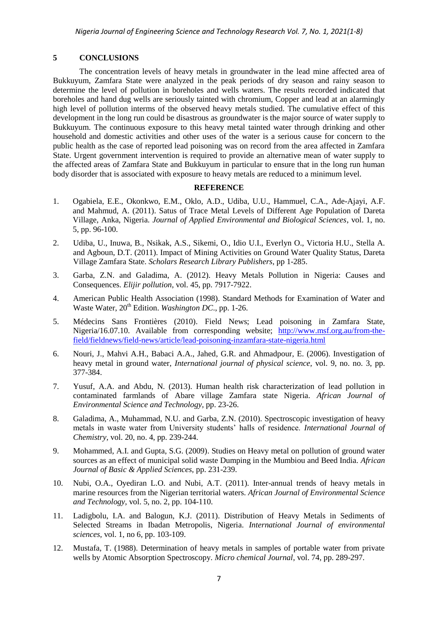#### **5 CONCLUSIONS**

The concentration levels of heavy metals in groundwater in the lead mine affected area of Bukkuyum, Zamfara State were analyzed in the peak periods of dry season and rainy season to determine the level of pollution in boreholes and wells waters. The results recorded indicated that boreholes and hand dug wells are seriously tainted with chromium, Copper and lead at an alarmingly high level of pollution interms of the observed heavy metals studied. The cumulative effect of this development in the long run could be disastrous as groundwater is the major source of water supply to Bukkuyum. The continuous exposure to this heavy metal tainted water through drinking and other household and domestic activities and other uses of the water is a serious cause for concern to the public health as the case of reported lead poisoning was on record from the area affected in Zamfara State. Urgent government intervention is required to provide an alternative mean of water supply to the affected areas of Zamfara State and Bukkuyum in particular to ensure that in the long run human body disorder that is associated with exposure to heavy metals are reduced to a minimum level.

#### **REFERENCE**

- 1. Ogabiela, E.E., Okonkwo, E.M., Oklo, A.D., Udiba, U.U., Hammuel, C.A., Ade-Ajayi, A.F. and Mahmud, A. (2011). Satus of Trace Metal Levels of Different Age Population of Dareta Village, Anka, Nigeria. *Journal of Applied Environmental and Biological Sciences*, vol. 1, no. 5, pp. 96-100.
- 2. Udiba, U., Inuwa, B., Nsikak, A.S., Sikemi, O., Idio U.I., Everlyn O., Victoria H.U., Stella A. and Agboun, D.T. (2011). Impact of Mining Activities on Ground Water Quality Status, Dareta Village Zamfara State. *Scholars Research Library Publishers*, pp 1-285.
- 3. Garba, Z.N. and Galadima, A. (2012). Heavy Metals Pollution in Nigeria: Causes and Consequences. *Elijir pollution*, vol. 45, pp. 7917-7922.
- 4. American Public Health Association (1998). Standard Methods for Examination of Water and Waste Water,  $20^{th}$  Edition. *Washington DC*., pp. 1-26.
- 5. Médecins Sans Frontières (2010). Field News; Lead poisoning in Zamfara State, Nigeria/16.07.10. Available from corresponding website; [http://www.msf.org.au/from-the](http://www.msf.org.au/from-the-%20field/fieldnews/field-news/article/lead-poisoning-inzamfara-state-nigeria.html)[field/fieldnews/field-news/article/lead-poisoning-inzamfara-state-nigeria.html](http://www.msf.org.au/from-the-%20field/fieldnews/field-news/article/lead-poisoning-inzamfara-state-nigeria.html)
- 6. Nouri, J., Mahvi A.H., Babaci A.A., Jahed, G.R. and Ahmadpour, E. (2006). Investigation of heavy metal in ground water, *International journal of physical science,* vol. 9, no. no. 3, pp. 377-384.
- 7. Yusuf, A.A. and Abdu, N. (2013). Human health risk characterization of lead pollution in contaminated farmlands of Abare village Zamfara state Nigeria. *African Journal of Environmental Science and Technology,* pp. 23-26.
- 8. Galadima, A., Muhammad, N.U. and Garba, Z.N. (2010). Spectroscopic investigation of heavy metals in waste water from University students' halls of residence. *International Journal of Chemistry,* vol. 20, no. 4, pp. 239-244.
- 9. Mohammed, A.I. and Gupta, S.G. (2009). Studies on Heavy metal on pollution of ground water sources as an effect of municipal solid waste Dumping in the Mumbiou and Beed India. *African Journal of Basic & Applied Sciences,* pp. 231-239.
- 10. Nubi, O.A., Oyediran L.O. and Nubi, A.T. (2011). Inter-annual trends of heavy metals in marine resources from the Nigerian territorial waters*. African Journal of Environmental Science and Technology,* vol. 5, no. 2, pp. 104-110.
- 11. Ladigbolu, I.A. and Balogun, K.J. (2011). Distribution of Heavy Metals in Sediments of Selected Streams in Ibadan Metropolis, Nigeria. *International Journal of environmental sciences,* vol. 1, no 6, pp. 103-109.
- 12. Mustafa, T. (1988). Determination of heavy metals in samples of portable water from private wells by Atomic Absorption Spectroscopy. *Micro chemical Journal,* vol. 74, pp. 289-297.